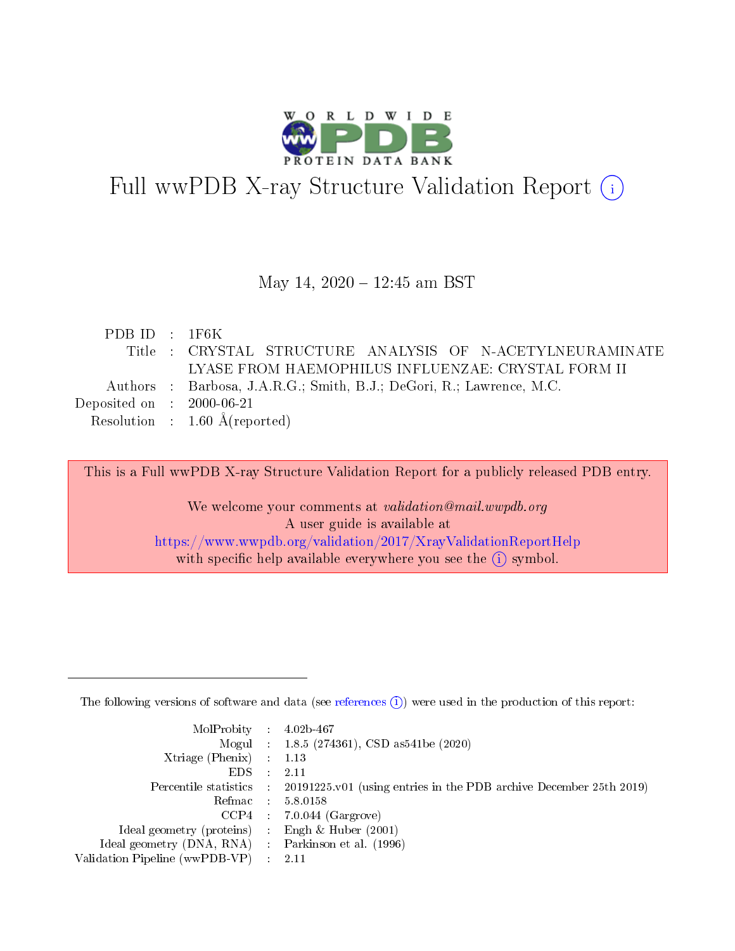

# Full wwPDB X-ray Structure Validation Report (i)

#### May 14, 2020 - 12:45 am BST

| PDBID : 1F6K                         |                                                                      |
|--------------------------------------|----------------------------------------------------------------------|
|                                      | Title : CRYSTAL STRUCTURE ANALYSIS OF N-ACETYLNEURAMINATE            |
|                                      | LYASE FROM HAEMOPHILUS INFLUENZAE: CRYSTAL FORM II                   |
|                                      | Authors : Barbosa, J.A.R.G.; Smith, B.J.; DeGori, R.; Lawrence, M.C. |
| Deposited on $\therefore$ 2000-06-21 |                                                                      |
|                                      | Resolution : $1.60 \text{ Å}$ (reported)                             |

This is a Full wwPDB X-ray Structure Validation Report for a publicly released PDB entry.

We welcome your comments at validation@mail.wwpdb.org A user guide is available at <https://www.wwpdb.org/validation/2017/XrayValidationReportHelp> with specific help available everywhere you see the  $(i)$  symbol.

The following versions of software and data (see [references](https://www.wwpdb.org/validation/2017/XrayValidationReportHelp#references)  $(1)$ ) were used in the production of this report:

| $MolProbability$ 4.02b-467                          |               |                                                                                            |
|-----------------------------------------------------|---------------|--------------------------------------------------------------------------------------------|
|                                                     |               | Mogul : $1.8.5$ (274361), CSD as 541be (2020)                                              |
| Xtriage (Phenix) $: 1.13$                           |               |                                                                                            |
| EDS.                                                | $\mathcal{L}$ | -2.11                                                                                      |
|                                                     |               | Percentile statistics : 20191225.v01 (using entries in the PDB archive December 25th 2019) |
|                                                     |               | Refmac $5.8.0158$                                                                          |
| CCP4                                                |               | $7.0.044$ (Gargrove)                                                                       |
| Ideal geometry (proteins)                           | $\sim$        | Engh $\&$ Huber (2001)                                                                     |
| Ideal geometry (DNA, RNA) : Parkinson et al. (1996) |               |                                                                                            |
| Validation Pipeline (wwPDB-VP) : 2.11               |               |                                                                                            |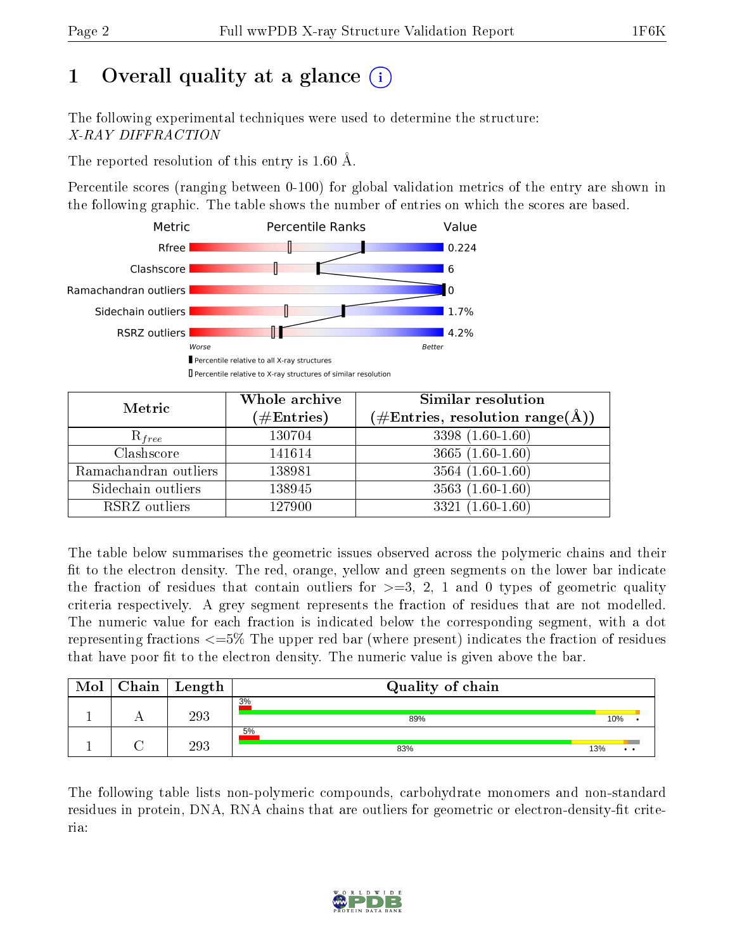# 1 [O](https://www.wwpdb.org/validation/2017/XrayValidationReportHelp#overall_quality)verall quality at a glance  $(i)$

The following experimental techniques were used to determine the structure: X-RAY DIFFRACTION

The reported resolution of this entry is 1.60 Å.

Percentile scores (ranging between 0-100) for global validation metrics of the entry are shown in the following graphic. The table shows the number of entries on which the scores are based.



| Metric                | Whole archive<br>$(\#\text{Entries})$ | Similar resolution<br>$(\#\text{Entries},\,\text{resolution}\,\,\text{range}(\textup{\AA}))$ |
|-----------------------|---------------------------------------|----------------------------------------------------------------------------------------------|
| $R_{free}$            | 130704                                | 3398 (1.60-1.60)                                                                             |
| Clashscore            | 141614                                | $3665(1.60-1.60)$                                                                            |
| Ramachandran outliers | 138981                                | $\overline{3564}$ $(1.60-1.60)$                                                              |
| Sidechain outliers    | 138945                                | $3563(1.60-1.60)$                                                                            |
| RSRZ outliers         | 127900                                | $3321(1.60-1.60)$                                                                            |

The table below summarises the geometric issues observed across the polymeric chains and their fit to the electron density. The red, orange, yellow and green segments on the lower bar indicate the fraction of residues that contain outliers for  $>=3, 2, 1$  and 0 types of geometric quality criteria respectively. A grey segment represents the fraction of residues that are not modelled. The numeric value for each fraction is indicated below the corresponding segment, with a dot representing fractions <=5% The upper red bar (where present) indicates the fraction of residues that have poor fit to the electron density. The numeric value is given above the bar.

| Mol | Chain | Length | Quality of chain |                        |
|-----|-------|--------|------------------|------------------------|
|     |       | 293    | 3%<br>89%        | 10%                    |
|     |       | 293    | 5%<br>83%        | 13%<br>$\cdot$ $\cdot$ |

The following table lists non-polymeric compounds, carbohydrate monomers and non-standard residues in protein, DNA, RNA chains that are outliers for geometric or electron-density-fit criteria:

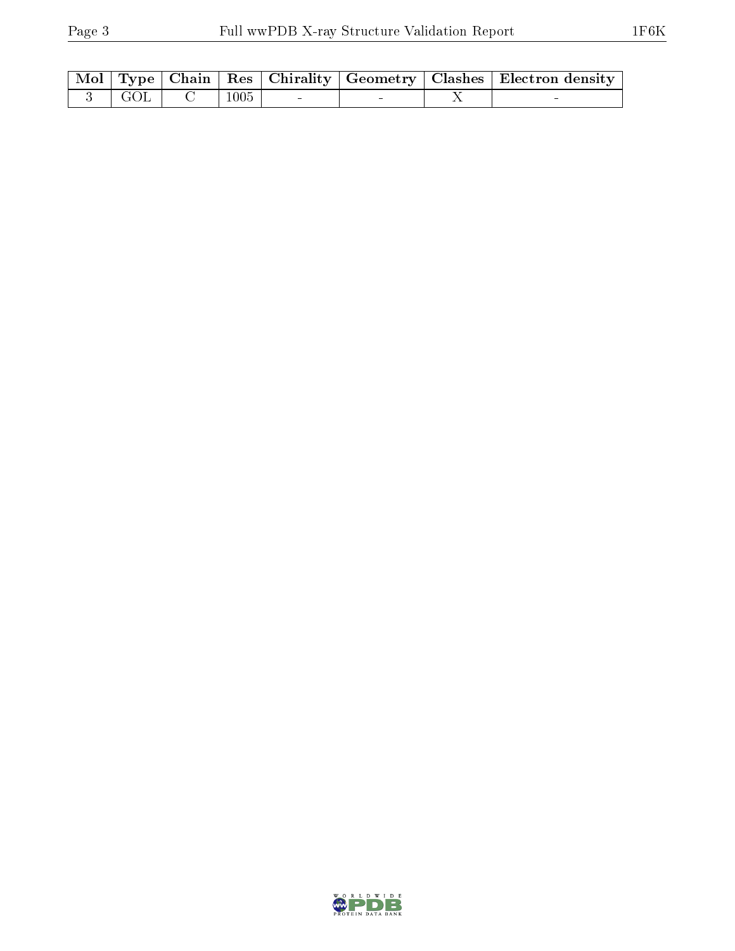|            |                 |  | Mol   Type   Chain   Res   Chirality   Geometry   Clashes   Electron density |
|------------|-----------------|--|------------------------------------------------------------------------------|
| $\pm$ GOL. | $^{\circ}$ 1005 |  |                                                                              |

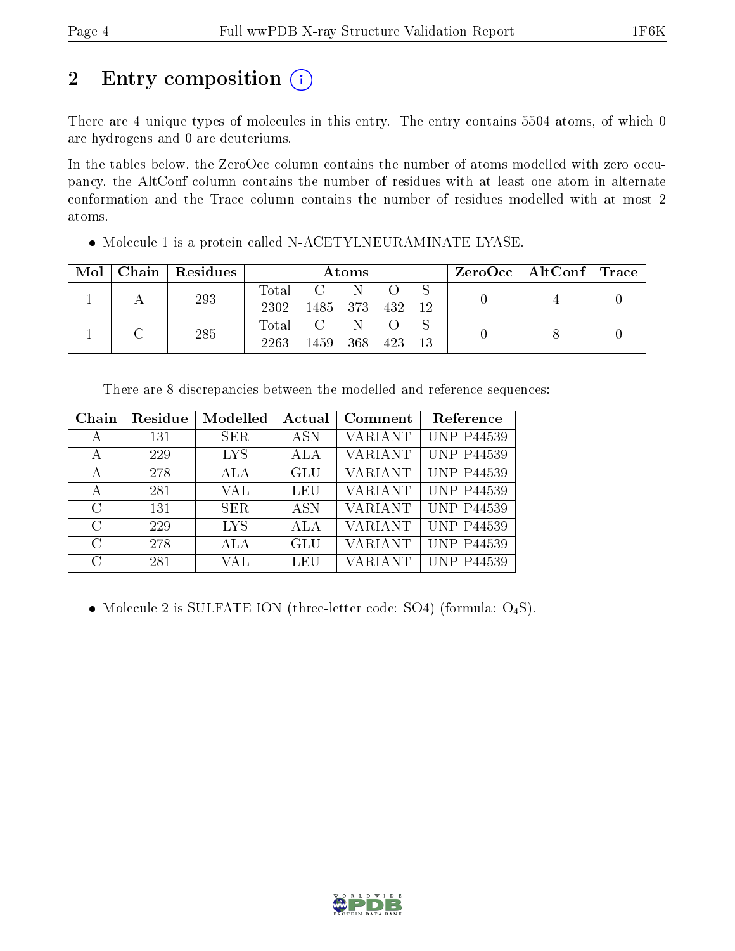## 2 Entry composition (i)

There are 4 unique types of molecules in this entry. The entry contains 5504 atoms, of which 0 are hydrogens and 0 are deuteriums.

In the tables below, the ZeroOcc column contains the number of atoms modelled with zero occupancy, the AltConf column contains the number of residues with at least one atom in alternate conformation and the Trace column contains the number of residues modelled with at most 2 atoms.

| $\operatorname{Mol}$ | Chain   Residues | Atoms |                  |      |     | $\rm{ZeroOcc}$   AltConf   Trace |  |  |
|----------------------|------------------|-------|------------------|------|-----|----------------------------------|--|--|
|                      | 293              | Total | $\overline{C}$ N |      |     |                                  |  |  |
|                      |                  | 2302  | 1485 373 432 12  |      |     |                                  |  |  |
|                      | 285              | Total |                  | N.   |     |                                  |  |  |
|                      |                  | 2263  | 1459             | -368 | 423 | 13                               |  |  |

Molecule 1 is a protein called N-ACETYLNEURAMINATE LYASE.

| Chain         | Residue | Modelled   | Actual     | Comment        | Reference         |
|---------------|---------|------------|------------|----------------|-------------------|
| А             | 131     | SER.       | <b>ASN</b> | <b>VARIANT</b> | <b>UNP P44539</b> |
| А             | 229     | <b>LYS</b> | ALA        | <b>VARIANT</b> | <b>UNP P44539</b> |
| А             | 278     | ALA        | GLU        | <b>VARIANT</b> | <b>UNP P44539</b> |
| А             | 281     | VAL        | LEU        | <b>VARIANT</b> | <b>UNP P44539</b> |
| $\rm C$       | 131     | SER.       | ASN        | <b>VARIANT</b> | <b>UNP P44539</b> |
| $\mathcal{C}$ | 229     | <b>LYS</b> | ALA        | <b>VARIANT</b> | <b>UNP P44539</b> |
| $\mathcal{C}$ | 278     | ALA        | GLU        | <b>VARIANT</b> | <b>UNP P44539</b> |
| C             | 281     | VAL        | LEU        | VARIANT        | <b>UNP P44539</b> |

• Molecule 2 is SULFATE ION (three-letter code: SO4) (formula: O<sub>4</sub>S).

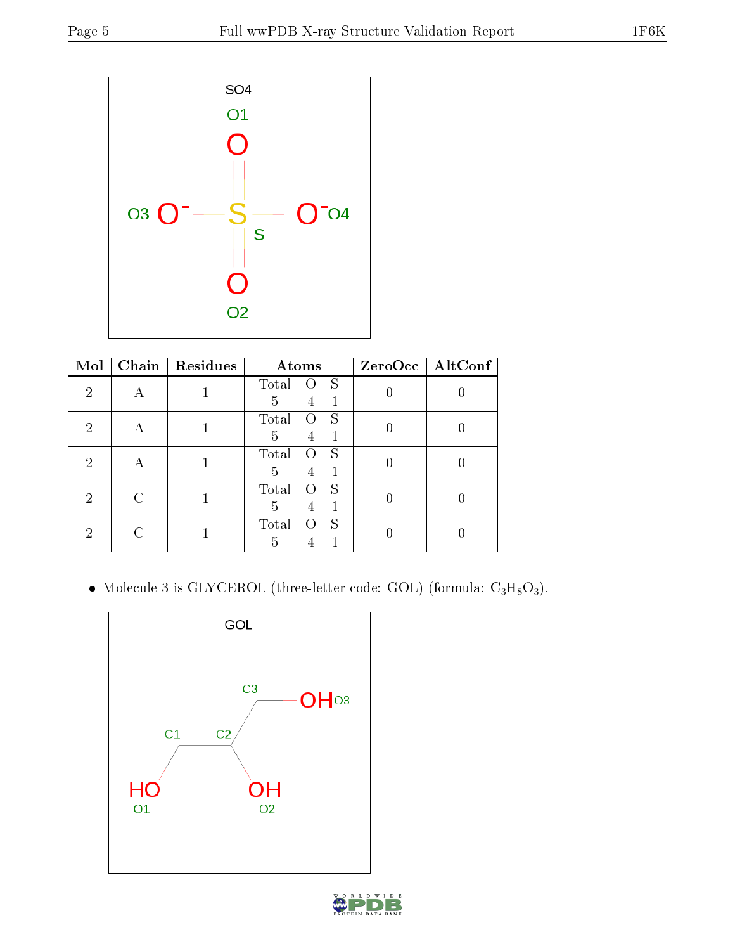

| Mol | Chain | Residues | Atoms           |                  | ZeroOcc   AltConf |
|-----|-------|----------|-----------------|------------------|-------------------|
| 2   |       |          | S<br>Total<br>0 |                  |                   |
|     |       |          | 5<br>1<br>4     |                  |                   |
| 2   | А     |          | Total<br>S      | $\left( \right)$ |                   |
|     |       |          | 5<br>4          |                  |                   |
| 2   |       |          | Total<br>S<br>0 |                  |                   |
|     | А     |          | 5<br>4          |                  |                   |
| 2   |       |          | Total<br>S      |                  |                   |
|     |       |          | 5<br>1<br>4     |                  |                   |
| 2   |       |          | S<br>Total      |                  |                   |
|     |       |          | 5               |                  |                   |

 $\bullet$  Molecule 3 is GLYCEROL (three-letter code: GOL) (formula:  $\rm{C_3H_8O_3}).$ 

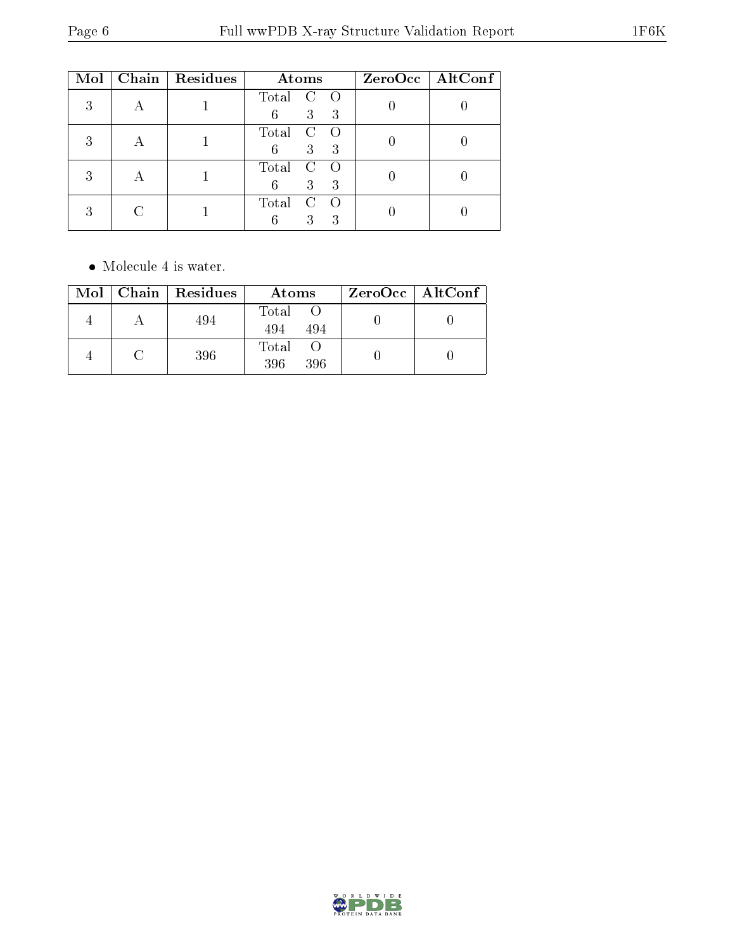| Mol | Chain   Residues | Atoms                                 | ZeroOcc   AltConf |
|-----|------------------|---------------------------------------|-------------------|
| 3   |                  | Total<br>C<br>3<br>6<br>3             |                   |
| 2   |                  | Total<br>3<br>3<br>6                  |                   |
|     |                  | Total<br>$\mathcal{C}$<br>3<br>6<br>3 |                   |
| 3   |                  | Total<br>3<br>3<br>հ                  |                   |

• Molecule 4 is water.

|  | $Mol$   Chain   Residues | Atoms               | $ZeroOcc \mid AltConf \mid$ |
|--|--------------------------|---------------------|-----------------------------|
|  | 494                      | Total<br>494<br>494 |                             |
|  | 396                      | Total<br>396<br>396 |                             |

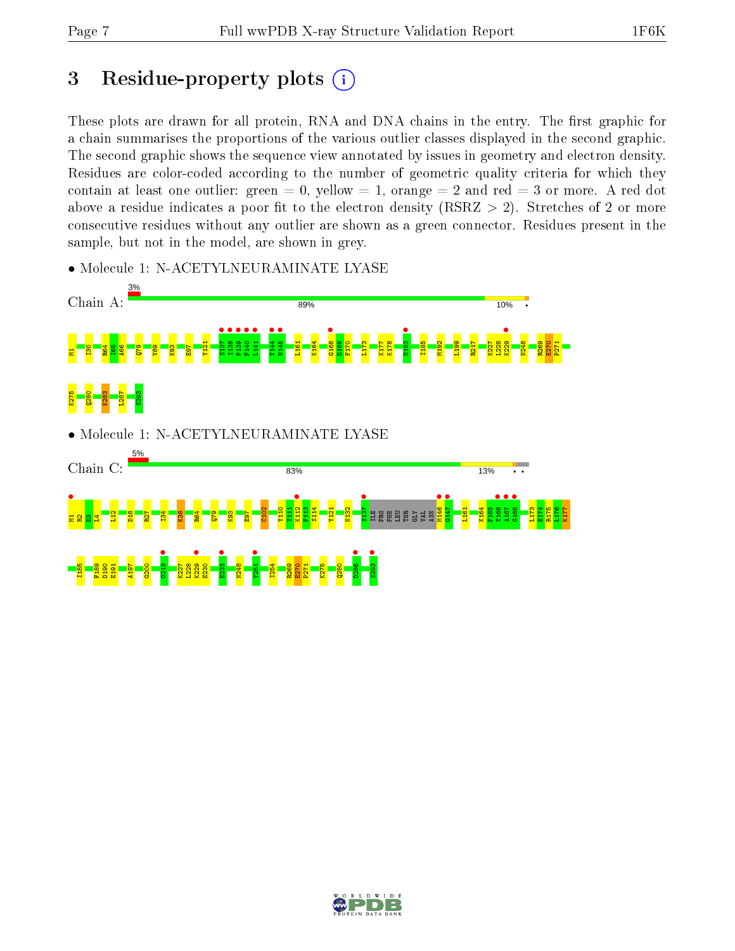## 3 Residue-property plots  $(i)$

These plots are drawn for all protein, RNA and DNA chains in the entry. The first graphic for a chain summarises the proportions of the various outlier classes displayed in the second graphic. The second graphic shows the sequence view annotated by issues in geometry and electron density. Residues are color-coded according to the number of geometric quality criteria for which they contain at least one outlier: green  $= 0$ , yellow  $= 1$ , orange  $= 2$  and red  $= 3$  or more. A red dot above a residue indicates a poor fit to the electron density (RSRZ  $> 2$ ). Stretches of 2 or more consecutive residues without any outlier are shown as a green connector. Residues present in the sample, but not in the model, are shown in grey.



• Molecule 1: N-ACETYLNEURAMINATE LYASE

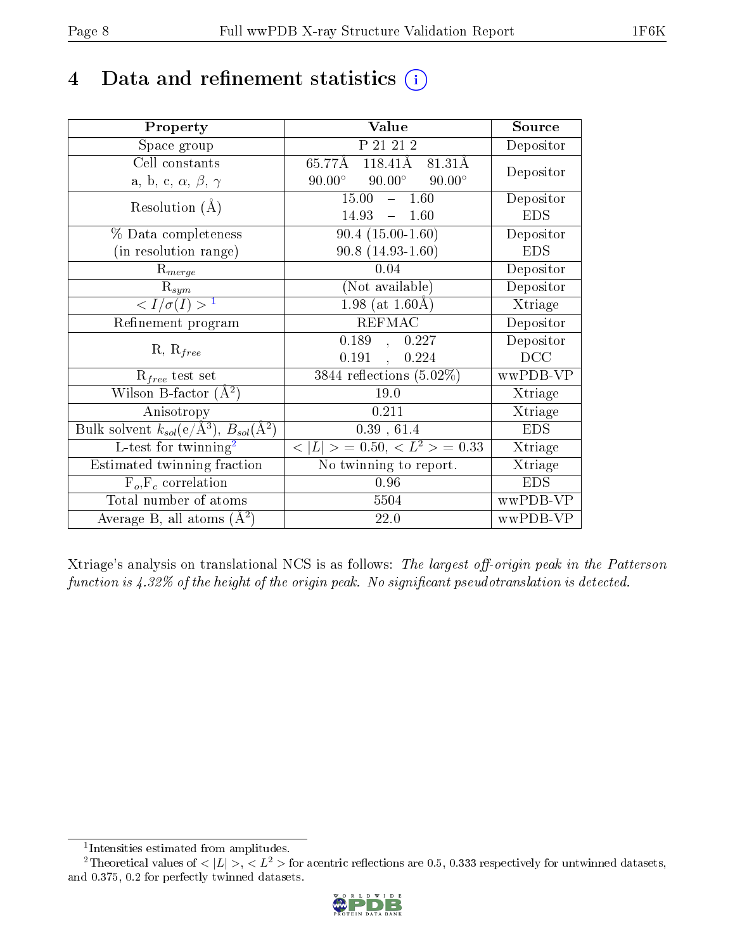## 4 Data and refinement statistics  $(i)$

| Property                                                         | Value                                               | Source     |
|------------------------------------------------------------------|-----------------------------------------------------|------------|
| Space group                                                      | P 21 21 2                                           | Depositor  |
| Cell constants                                                   | 118.41Å 81.31Å<br>65.77Å                            | Depositor  |
| a, b, c, $\alpha$ , $\beta$ , $\gamma$                           | $90.00^\circ$<br>$90.00^{\circ}$<br>$90.00^{\circ}$ |            |
| Resolution $(A)$                                                 | 15.00<br>$-1.60$                                    | Depositor  |
|                                                                  | 14.93<br>1.60<br>$\frac{1}{2}$                      | <b>EDS</b> |
| % Data completeness                                              | $90.4(15.00-1.60)$                                  | Depositor  |
| (in resolution range)                                            | $90.8(14.93-1.60)$                                  | <b>EDS</b> |
| $R_{merge}$                                                      | 0.04                                                | Depositor  |
| $\mathrm{R}_{sym}$                                               | (Not available)                                     | Depositor  |
| $\langle I/\sigma(I) \rangle^{-1}$                               | 1.98 (at $1.60\text{\AA}$ )                         | Xtriage    |
| Refinement program                                               | <b>REFMAC</b>                                       | Depositor  |
| $R, R_{free}$                                                    | 0.189,<br>0.227                                     | Depositor  |
|                                                                  | 0.191<br>0.224<br>$\mathcal{A}$                     | DCC        |
| $R_{free}$ test set                                              | $\overline{3844}$ reflections $(5.02\%)$            | wwPDB-VP   |
| Wilson B-factor $(A^2)$                                          | 19.0                                                | Xtriage    |
| Anisotropy                                                       | 0.211                                               | Xtriage    |
| Bulk solvent $k_{sol}(\text{e}/\text{A}^3), B_{sol}(\text{A}^2)$ | 0.39, 61.4                                          | <b>EDS</b> |
| L-test for $\mathrm{twinning}^2$                                 | $< L >$ = 0.50, $< L^2 >$ = 0.33                    | Xtriage    |
| Estimated twinning fraction                                      | $\overline{\text{No}}$ twinning to report.          | Xtriage    |
| $F_o, F_c$ correlation                                           | 0.96                                                | <b>EDS</b> |
| Total number of atoms                                            | 5504                                                | wwPDB-VP   |
| Average B, all atoms $(A^2)$                                     | 22.0                                                | wwPDB-VP   |

Xtriage's analysis on translational NCS is as follows: The largest off-origin peak in the Patterson function is  $4.32\%$  of the height of the origin peak. No significant pseudotranslation is detected.

<sup>&</sup>lt;sup>2</sup>Theoretical values of  $\langle |L| \rangle$ ,  $\langle L^2 \rangle$  for acentric reflections are 0.5, 0.333 respectively for untwinned datasets, and 0.375, 0.2 for perfectly twinned datasets.



<span id="page-7-1"></span><span id="page-7-0"></span><sup>1</sup> Intensities estimated from amplitudes.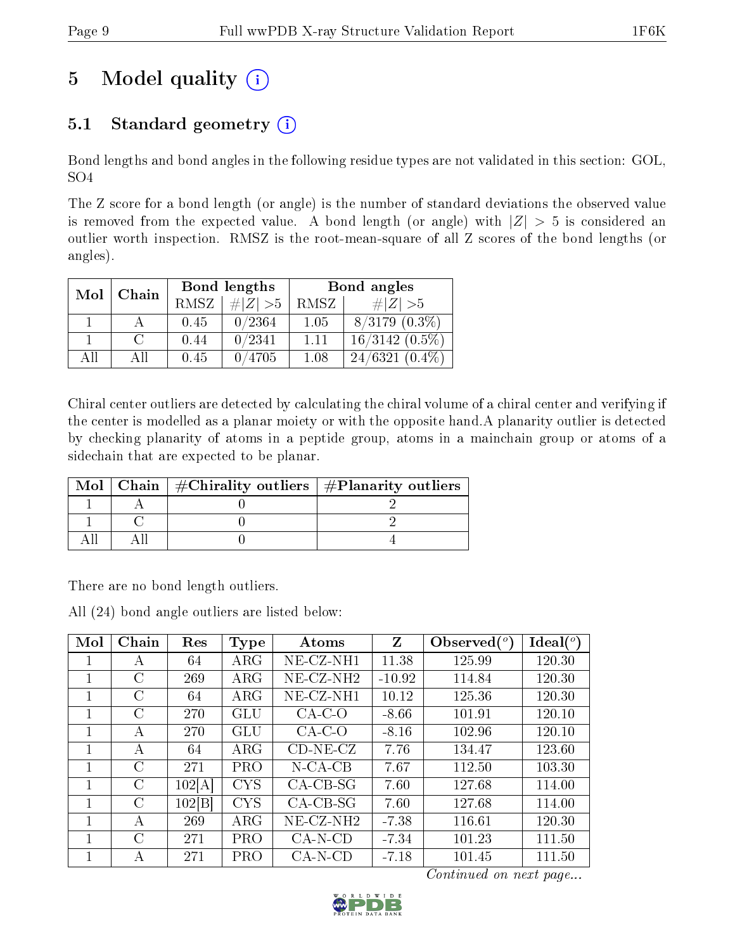# 5 Model quality  $(i)$

## 5.1 Standard geometry  $(i)$

Bond lengths and bond angles in the following residue types are not validated in this section: GOL, SO4

The Z score for a bond length (or angle) is the number of standard deviations the observed value is removed from the expected value. A bond length (or angle) with  $|Z| > 5$  is considered an outlier worth inspection. RMSZ is the root-mean-square of all Z scores of the bond lengths (or angles).

| Mol | Chain | Bond lengths |           | Bond angles |                    |
|-----|-------|--------------|-----------|-------------|--------------------|
|     |       | RMSZ         | # $ Z >5$ | RMSZ        | $\# Z  > 5$        |
|     |       | 0.45         | 0/2364    | 1.05        | $8/3179$ $(0.3\%)$ |
|     |       | 0.44         | 0/2341    | 1.11        | $16/3142(0.5\%)$   |
| AH  | ΑH    | 0.45         | 0/4705    | 1.08        | $24/6321(0.4\%)$   |

Chiral center outliers are detected by calculating the chiral volume of a chiral center and verifying if the center is modelled as a planar moiety or with the opposite hand.A planarity outlier is detected by checking planarity of atoms in a peptide group, atoms in a mainchain group or atoms of a sidechain that are expected to be planar.

| Mol | Chain   $\#\text{Chirality outliers}$   $\#\text{Planarity outliers}$ |  |
|-----|-----------------------------------------------------------------------|--|
|     |                                                                       |  |
|     |                                                                       |  |
|     |                                                                       |  |

There are no bond length outliers.

All (24) bond angle outliers are listed below:

| Mol | Chain         | Res    | <b>Type</b> | Atoms                 | Z        | Observed $(^\circ)$ | Ideal $(^\circ)$ |
|-----|---------------|--------|-------------|-----------------------|----------|---------------------|------------------|
|     | A             | 64     | $\rm{ARG}$  | NE-CZ-NH1             | 11.38    | 125.99              | 120.30           |
|     | $\mathcal{C}$ | 269    | $\rm{ARG}$  | NE-CZ-NH <sub>2</sub> | $-10.92$ | 114.84              | 120.30           |
|     | C             | 64     | $\rm{ARG}$  | NE-CZ-NH1             | 10.12    | 125.36              | 120.30           |
|     | $\mathcal{C}$ | 270    | GLU         | $CA-C-O$              | $-8.66$  | 101.91              | 120.10           |
|     | А             | 270    | GLU         | $CA-C-O$              | $-8.16$  | 102.96              | 120.10           |
|     | А             | 64     | $\rm{ARG}$  | $CD-NE- CZ$           | 7.76     | 134.47              | 123.60           |
|     | $\mathcal{C}$ | 271    | <b>PRO</b>  | $N$ -CA-CB            | 7.67     | 112.50              | 103.30           |
|     | $\mathcal{C}$ | 102[A] | <b>CYS</b>  | $CA-CB-SG$            | 7.60     | 127.68              | 114.00           |
| 1   | $\mathcal{C}$ | 102 B  | <b>CYS</b>  | $CA-CB-SG$            | 7.60     | 127.68              | 114.00           |
|     | A             | 269    | $\rm{ARG}$  | NE-CZ-NH2             | $-7.38$  | 116.61              | 120.30           |
|     | $\mathcal{C}$ | 271    | <b>PRO</b>  | $CA-N-CD$             | $-7.34$  | 101.23              | 111.50           |
|     | А             | 271    | PRO         | $CA-N-CD$             | $-7.18$  | 101.45              | 111.50           |

Continued on next page...

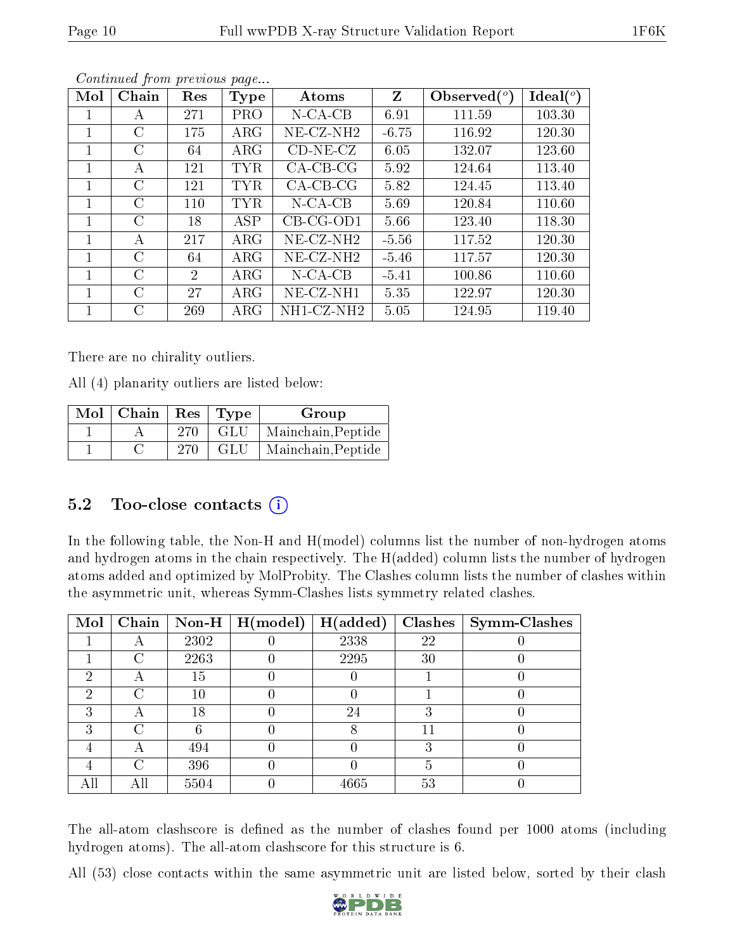| Mol | Chain         | Res            | Type       | Atoms                 | Z       | Observed $(°)$ | Ideal $(^\circ)$ |
|-----|---------------|----------------|------------|-----------------------|---------|----------------|------------------|
|     | A             | 271            | <b>PRO</b> | $N$ -CA-CB            | 6.91    | 111.59         | 103.30           |
|     | $\rm C$       | 175            | $\rm{ARG}$ | NE-CZ-NH <sub>2</sub> | $-6.75$ | 116.92         | 120.30           |
| 1   | $\rm C$       | 64             | $\rm{ARG}$ | $CD-NE- CZ$           | 6.05    | 132.07         | 123.60           |
| 1   | A             | 121            | <b>TYR</b> | $CA-CB-CG$            | 5.92    | 124.64         | 113.40           |
|     | $\rm C$       | 121            | TYR        | $CA-CB-CG$            | 5.82    | 124.45         | 113.40           |
|     | $\rm C$       | 110            | <b>TYR</b> | $N$ -CA-CB            | 5.69    | 120.84         | 110.60           |
|     | C             | 18             | <b>ASP</b> | $CB-CG-OD1$           | 5.66    | 123.40         | 118.30           |
|     | A             | 217            | $\rm{ARG}$ | $NE- CZ-NH2$          | $-5.56$ | 117.52         | 120.30           |
| 1   | $\mathcal{C}$ | 64             | $\rm{ARG}$ | NE-CZ-NH <sub>2</sub> | $-5.46$ | 117.57         | 120.30           |
|     | $\rm C$       | $\overline{2}$ | $\rm{ARG}$ | $N$ -CA-CB            | $-5.41$ | 100.86         | 110.60           |
|     | C             | 27             | $\rm{ARG}$ | $NE-CZ-NH1$           | 5.35    | 122.97         | 120.30           |
|     | $\rm C$       | 269            | $\rm{ARG}$ | NH1-CZ-NH2            | 5.05    | 124.95         | 119.40           |

Continued from previous page...

There are no chirality outliers.

All (4) planarity outliers are listed below:

| $\overline{\text{Mol}}$   Chain   Res   Type |     |     | Group              |
|----------------------------------------------|-----|-----|--------------------|
|                                              | 270 | GLU | Mainchain, Peptide |
|                                              | 270 | GLU | Mainchain, Peptide |

### 5.2 Too-close contacts  $(i)$

In the following table, the Non-H and H(model) columns list the number of non-hydrogen atoms and hydrogen atoms in the chain respectively. The H(added) column lists the number of hydrogen atoms added and optimized by MolProbity. The Clashes column lists the number of clashes within the asymmetric unit, whereas Symm-Clashes lists symmetry related clashes.

| Mol | Chain | $\bf Non-H$ | $\mid$ H(model) | H(added) | <b>Clashes</b> | <b>Symm-Clashes</b> |
|-----|-------|-------------|-----------------|----------|----------------|---------------------|
|     | A     | 2302        |                 | 2338     | 22             |                     |
|     | ( )   | 2263        |                 | 2295     | 30             |                     |
| ച   |       | 15          |                 |          |                |                     |
| 2   |       | 10          |                 |          |                |                     |
| 3   | A     | 18          |                 | 24       |                |                     |
| ົ   | C     |             |                 |          |                |                     |
|     |       | 494         |                 |          |                |                     |
|     | C     | 396         |                 |          |                |                     |
|     |       | 5504        |                 | 4665     | 53             |                     |

The all-atom clashscore is defined as the number of clashes found per 1000 atoms (including hydrogen atoms). The all-atom clashscore for this structure is 6.

All (53) close contacts within the same asymmetric unit are listed below, sorted by their clash

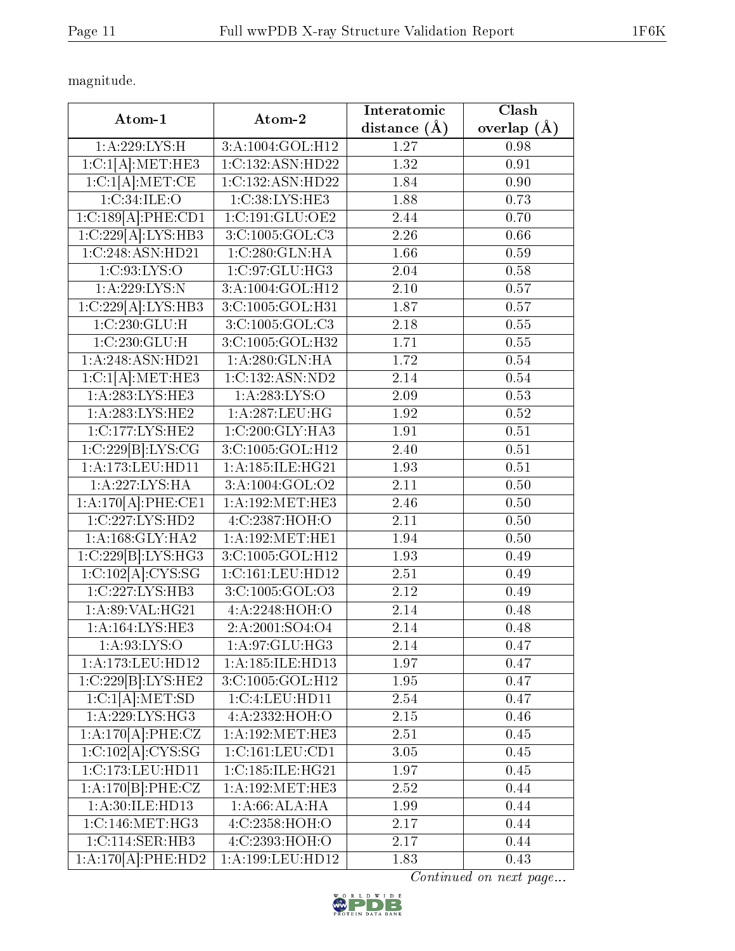magnitude.

| Atom-1                                     | Atom-2               | Interatomic       | Clash             |
|--------------------------------------------|----------------------|-------------------|-------------------|
|                                            |                      | distance $(\AA)$  | overlap $(A)$     |
| 1:A:229:LYS:H                              | 3:A:1004:GOL:H12     | 1.27              | 0.98              |
| 1:C:1[A]:MET:HE3                           | 1:C:132:ASN:HD22     | 1.32              | 0.91              |
| 1:C:1[A].MET:CE                            | 1:C:132:ASN:HD22     | 1.84              | $\overline{0.90}$ |
| 1:C:34:ILE:O                               | 1:C:38:LYS:HE3       | 1.88              | 0.73              |
| 1:C:189[A]:PHE:CD1                         | 1:C:191:GLU:OE2      | 2.44              | 0.70              |
| 1:C:229[A]:LYS:HB3                         | 3:C:1005:GOL:C3      | 2.26              | 0.66              |
| 1:C:248:ASN:HD21                           | 1:C:280:GLN:HA       | 1.66              | 0.59              |
| 1:C:93:LYS:O                               | 1:C:97:GLU:HG3       | 2.04              | 0.58              |
| 1:A:229:LYS:N                              | 3:A:1004:GOL:H12     | 2.10              | 0.57              |
| 1:C:229[A]:LYS:HB3                         | 3:C:1005:GOL:H31     | 1.87              | $\overline{0.57}$ |
| 1:C:230:GLU:H                              | 3:C:1005:GOL:C3      | $2.18\,$          | 0.55              |
| 1:C:230:GLU:H                              | 3:C:1005:GOL:H32     | 1.71              | 0.55              |
| 1:A:248:ASN:HD21                           | 1: A:280: GLN: HA    | 1.72              | 0.54              |
| 1:C:1[A]:MET:HE3                           | 1:C:132:ASN:ND2      | 2.14              | 0.54              |
| 1: A:283:LYS:HE3                           | 1:A:283:LYS:O        | 2.09              | 0.53              |
| 1: A:283: LYS: HE2                         | 1:A:287:LEU:HG       | 1.92              | 0.52              |
| 1:C:177:LYS:HE2                            | 1:C:200:GLY:HA3      | 1.91              | 0.51              |
| 1:C:229[B]:LYS:CG                          | 3:C:1005:GOL:H12     | 2.40              | 0.51              |
| 1:A:173:LEU:HD11                           | 1: A: 185: ILE: HG21 | 1.93              | 0.51              |
| 1: A:227:LYS:HA                            | 3:A:1004:GOL:O2      | 2.11              | 0.50              |
| 1:A:170[A]:PHE:CE1                         | 1: A:192:MET:HE3     | 2.46              | 0.50              |
| 1:C:227:LYS:HD2                            | 4:C:2387:HOH:O       | $\overline{2.11}$ | $\overline{0.50}$ |
| 1: A: 168: GLY: HA2                        | 1: A:192:MET:HE1     | 1.94              | 0.50              |
| 1:C:229[B]:LYS:HG3                         | 3:C:1005:GOL:H12     | 1.93              | 0.49              |
| 1:C:102[A]:CYS:SG                          | 1:C:161:LEU:HD12     | 2.51              | 0.49              |
| $1:C:227:\overline{\text{LYS}:\text{HB3}}$ | 3:C:1005:GOL:O3      | $2.12\,$          | 0.49              |
| 1: A:89: VAL: HG21                         | 4:A:2248:HOH:O       | 2.14              | 0.48              |
| 1: A:164: LYS: HE3                         | 2:A:2001:SO4:O4      | 2.14              | 0.48              |
| 1: A:93: LYS:O                             | 1:A:97:GLU:HG3       | 2.14              | 0.47              |
| 1:A:173:LEU:HD12                           | 1:A:185:ILE:HD13     | 1.97              | 0.47              |
| 1:C:229[B]:LYS:HE2                         | 3:C:1005:GOL:H12     | 1.95              | 0.47              |
| 1:C:1[A]:MET:SD                            | 1:C:4:LEU:HD11       | 2.54              | 0.47              |
| 1:A:229:LYS:HG3                            | 4:A:2332:HOH:O       | 2.15              | 0.46              |
| 1:A:170[A]:PHE:CZ                          | 1: A:192: MET:HE3    | 2.51              | 0.45              |
| 1:C:102[A]:CYS:SG                          | 1:C:161:LEU:CD1      | 3.05              | 0.45              |
| 1:C:173:LEU:HD11                           | 1:C:185:ILE:HG21     | 1.97              | 0.45              |
| 1:A:170[B]:PHE:CZ                          | 1: A:192: MET:HE3    | 2.52              | 0.44              |
| 1:A:30:ILE:HD13                            | 1: A:66: ALA: HA     | 1.99              | 0.44              |
| 1:C:146:MET:HG3                            | 4:C:2358:HOH:O       | 2.17              | 0.44              |
| 1:C:114:SER:HB3                            | 4:C:2393:HOH:O       | 2.17              | 0.44              |
| 1:A:170[A]:PHE:HD2                         | 1:A:199:LEU:HD12     | 1.83              | 0.43              |

Continued on next page...

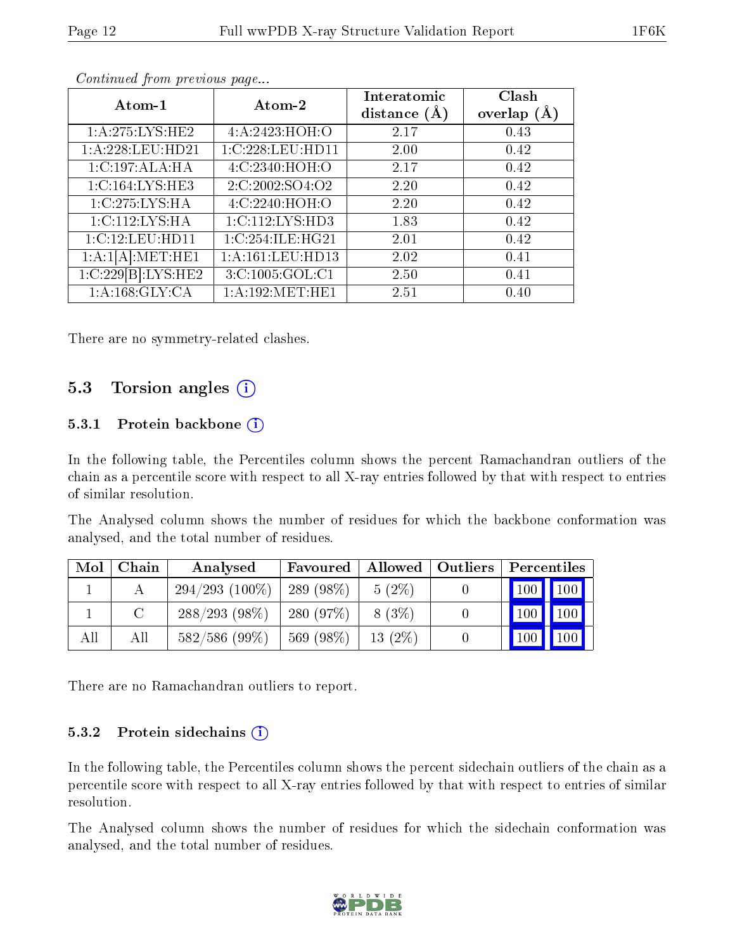| Atom-1             | Atom-2              | Interatomic<br>distance $(A)$ | Clash<br>overlap $(A)$ |
|--------------------|---------------------|-------------------------------|------------------------|
| 1: A:275:LYS:HE2   | 4: A:2423:HOH:O     | 2.17                          | 0.43                   |
| 1:A:228:LEU:HD21   | 1:C:228:LEU:HD11    | 2.00                          | 0.42                   |
| 1:C:197:ALA:HA     | 4:C:2340:HOH:O      | 2.17                          | 0.42                   |
| 1:C:164:LYS:HE3    | 2:C:2002:SO4:O2     | 2.20                          | 0.42                   |
| 1:C:275:LYS:HA     | 4:C:2240:HOH:O      | 2.20                          | 0.42                   |
| 1:C:112:LYS:HA     | 1: C: 112: LYS: HD3 | 1.83                          | 0.42                   |
| 1:C:12:LEU:HD11    | 1:C:254:ILE:HG21    | 2.01                          | 0.42                   |
| 1:A:1[A]:MET:HE1   | 1:A:161:LEU:HD13    | 2.02                          | 0.41                   |
| 1:C:229[B]:LYS:HE2 | 3:C:1005:GOL:C1     | 2.50                          | 0.41                   |
| 1: A: 168: GLY: CA | 1: A: 192: MET: HE1 | 2.51                          | 0.40                   |

Continued from previous page...

There are no symmetry-related clashes.

### 5.3 Torsion angles (i)

#### 5.3.1 Protein backbone  $(i)$

In the following table, the Percentiles column shows the percent Ramachandran outliers of the chain as a percentile score with respect to all X-ray entries followed by that with respect to entries of similar resolution.

The Analysed column shows the number of residues for which the backbone conformation was analysed, and the total number of residues.

| Mol | Chain | Analysed         | Favoured   Allowed   Outliers |           | Percentiles                     |
|-----|-------|------------------|-------------------------------|-----------|---------------------------------|
|     |       | $294/293(100\%)$ | $'$ 289 (98%)                 | $5(2\%)$  |                                 |
|     |       | $288/293(98\%)$  | 280 (97%)                     | 8 (3\%)   | $\vert$ 100 $\vert$ 100 $\vert$ |
| All | All   | $582/586$ (99\%) | 569(98%)                      | $13(2\%)$ | $\mid$ 100 $\mid$ 100 $\mid$    |

There are no Ramachandran outliers to report.

#### 5.3.2 Protein sidechains (i)

In the following table, the Percentiles column shows the percent sidechain outliers of the chain as a percentile score with respect to all X-ray entries followed by that with respect to entries of similar resolution.

The Analysed column shows the number of residues for which the sidechain conformation was analysed, and the total number of residues.

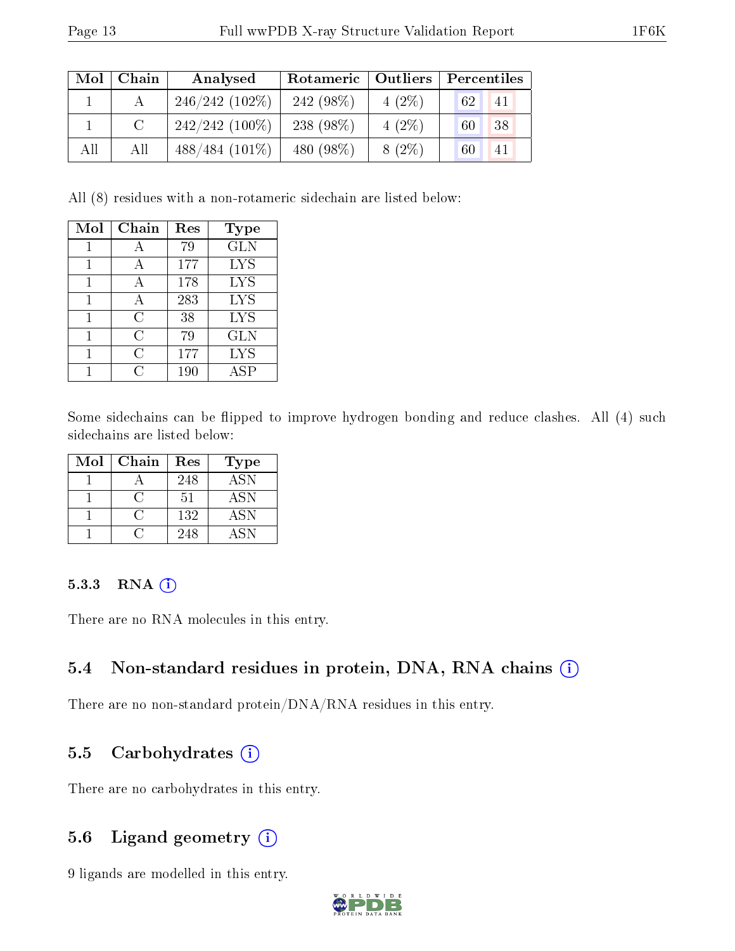| Mol | Chain | Analysed         | Rotameric  | <b>Outliers</b> | Percentiles |
|-----|-------|------------------|------------|-----------------|-------------|
|     |       | $246/242(102\%)$ | 242 (98%)  | $4(2\%)$        | 62<br>41    |
|     |       | $242/242$ (100%) | 238 (98\%) | $4(2\%)$        | 38<br>60    |
| All | All   | $488/484(101\%)$ | 480 (98%)  | $8(2\%)$        | 60<br>41    |

All (8) residues with a non-rotameric sidechain are listed below:

| Mol | Chain | Res | Type       |
|-----|-------|-----|------------|
| 1   |       | 79  | <b>GLN</b> |
| 1   | А     | 177 | <b>LYS</b> |
| 1   | А     | 178 | <b>LYS</b> |
| 1   | А     | 283 | <b>LYS</b> |
|     | С     | 38  | <b>LYS</b> |
|     | C     | 79  | GLN        |
|     | C     | 177 | <b>LYS</b> |
|     | €     | 190 | ASP        |

Some sidechains can be flipped to improve hydrogen bonding and reduce clashes. All (4) such sidechains are listed below:

| Mol | Chain | Res | <b>Type</b> |
|-----|-------|-----|-------------|
|     |       | 248 | ASN         |
|     |       | 51  | <b>ASN</b>  |
|     |       | 132 | <b>ASN</b>  |
|     |       | 248 | A SN        |

#### 5.3.3 RNA [O](https://www.wwpdb.org/validation/2017/XrayValidationReportHelp#rna)i

There are no RNA molecules in this entry.

#### 5.4 Non-standard residues in protein, DNA, RNA chains (i)

There are no non-standard protein/DNA/RNA residues in this entry.

#### 5.5 Carbohydrates  $(i)$

There are no carbohydrates in this entry.

#### 5.6 Ligand geometry (i)

9 ligands are modelled in this entry.

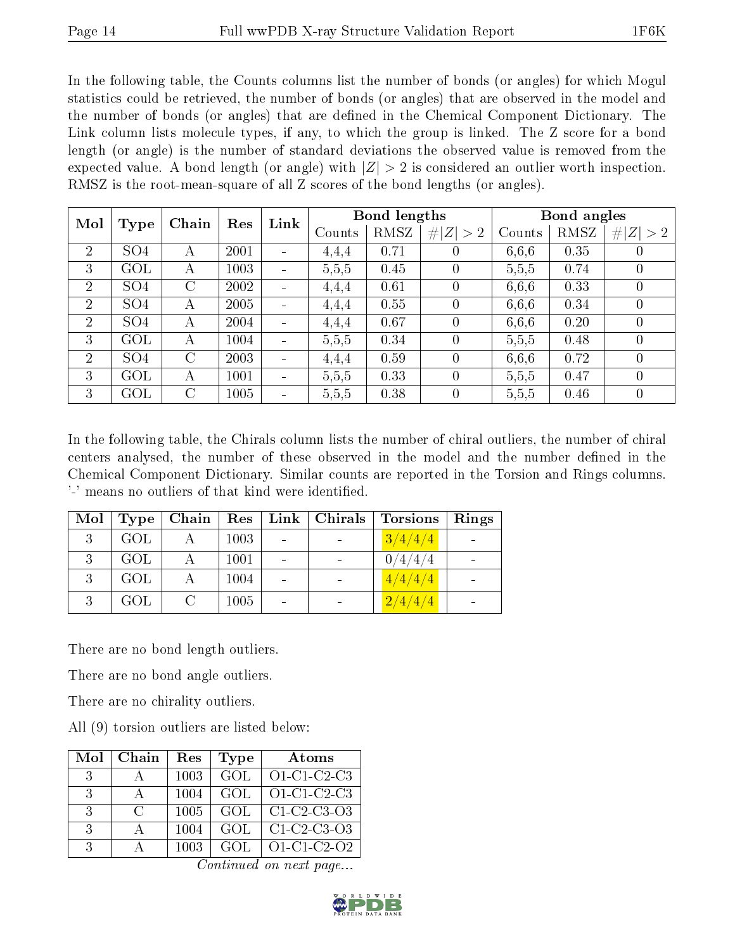In the following table, the Counts columns list the number of bonds (or angles) for which Mogul statistics could be retrieved, the number of bonds (or angles) that are observed in the model and the number of bonds (or angles) that are dened in the Chemical Component Dictionary. The Link column lists molecule types, if any, to which the group is linked. The Z score for a bond length (or angle) is the number of standard deviations the observed value is removed from the expected value. A bond length (or angle) with  $|Z| > 2$  is considered an outlier worth inspection. RMSZ is the root-mean-square of all Z scores of the bond lengths (or angles).

| Mol            |                 | Chain   |      | Link<br>Res | Bond lengths |             |                | Bond angles |             |                |
|----------------|-----------------|---------|------|-------------|--------------|-------------|----------------|-------------|-------------|----------------|
| Type           |                 |         |      | Counts      | RMSZ         | # $ Z  > 2$ | Counts         | RMSZ        | # $ Z  > 2$ |                |
| $\overline{2}$ | SO <sub>4</sub> | А       | 2001 |             | 4,4,4        | 0.71        | $\theta$       | 6,6,6       | 0.35        | $\theta$       |
| 3              | GOL             | А       | 1003 |             | 5,5,5        | 0.45        | $\theta$       | 5,5,5       | 0.74        | $\overline{0}$ |
| 2              | SO <sub>4</sub> | $\rm C$ | 2002 |             | 4,4,4        | 0.61        | $\overline{0}$ | 6,6,6       | 0.33        | $\overline{0}$ |
| $\overline{2}$ | SO <sub>4</sub> | A       | 2005 |             | 4,4,4        | 0.55        | $\theta$       | 6,6,6       | 0.34        | $\overline{0}$ |
| $\overline{2}$ | SO <sub>4</sub> | А       | 2004 |             | 4,4,4        | 0.67        | $\theta$       | 6.6.6       | 0.20        | $\overline{0}$ |
| 3              | GOL             | А       | 1004 |             | 5,5,5        | 0.34        | $\theta$       | 5,5,5       | 0.48        | $\overline{0}$ |
| 2              | SO <sub>4</sub> | $\rm C$ | 2003 |             | 4.4.4        | 0.59        | $\theta$       | 6.6.6       | 0.72        | $\theta$       |
| 3              | GOL             | А       | 1001 |             | 5,5,5        | 0.33        | $\theta$       | 5,5,5       | 0.47        | $\theta$       |
| 3              | GOL             | $\rm C$ | 1005 |             | 5,5,5        | 0.38        | $\overline{0}$ | 5,5,5       | 0.46        | $\overline{0}$ |

In the following table, the Chirals column lists the number of chiral outliers, the number of chiral centers analysed, the number of these observed in the model and the number defined in the Chemical Component Dictionary. Similar counts are reported in the Torsion and Rings columns. '-' means no outliers of that kind were identified.

| Mol | Type | Chain         | Res  |                          | Link   Christmas | <b>Torsions</b> | Rings |
|-----|------|---------------|------|--------------------------|------------------|-----------------|-------|
| 3   | GOL  |               | 1003 |                          |                  | 3/4/4/4         |       |
| ્ર  | GOL  |               | 1001 | $\overline{\phantom{0}}$ |                  | 0/4/4/4         |       |
| 3   | GOL  |               | 1004 |                          |                  | 4/4/4/4         |       |
| 2   | GOL  | $\mathcal{C}$ | 1005 |                          |                  | 2/4/4/4         |       |

There are no bond length outliers.

There are no bond angle outliers.

There are no chirality outliers.

All (9) torsion outliers are listed below:

| Mol           | Chain         | Res  | <b>Type</b> | Atoms          |
|---------------|---------------|------|-------------|----------------|
| -3            |               | 1003 | GOL         | $O1$ -C1-C2-C3 |
| $\mathbf{3}$  |               | 1004 | GOL         | O1-C1-C2-C3    |
| $\mathcal{R}$ | $\mathcal{C}$ | 1005 | GOL.        | $C1-C2-C3-O3$  |
| $\mathcal{R}$ |               | 1004 | GOL         | $C1-C2-C3-O3$  |
| 3             |               | 1003 | GOL.        | $O1-C1-C2-O2$  |

Continued on next page...

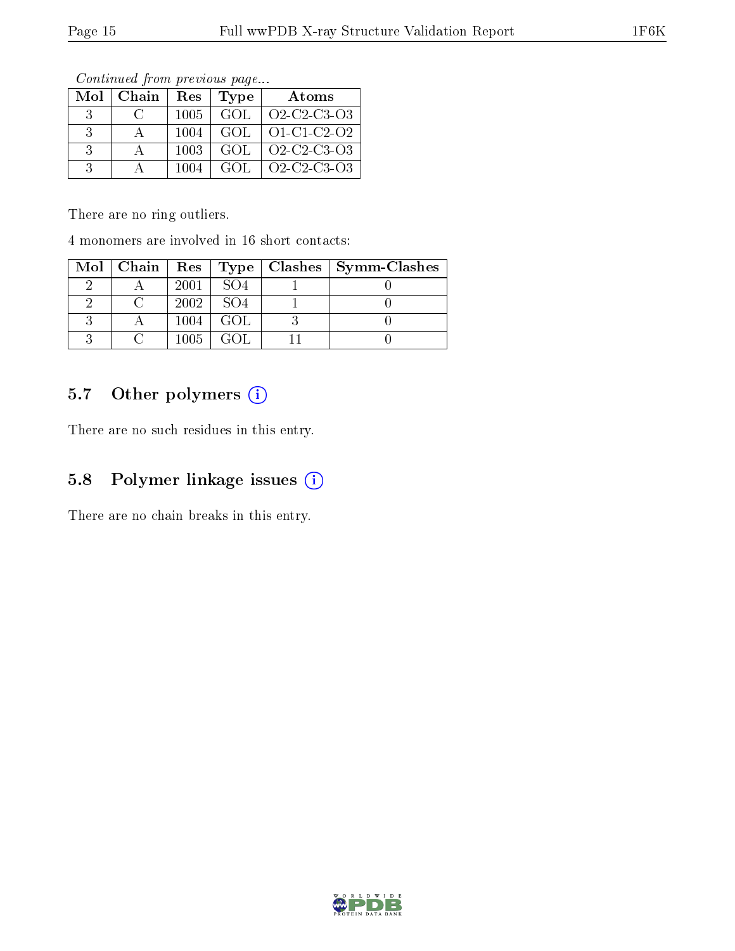| Mol           | Chain            | Res  | Type | Atoms                                                          |
|---------------|------------------|------|------|----------------------------------------------------------------|
| $\mathcal{R}$ | $\mathfrak{c}$ : | 1005 | GOL  | Q <sub>2</sub> -C <sub>2</sub> -C <sub>3</sub> -Q <sub>3</sub> |
| $\mathcal{R}$ |                  | 1004 | GOL. | $O1 - C1 - C2 - O2$                                            |
| $\cdot$ 3     |                  | 1003 | GOL  | O <sub>2</sub> -C <sub>2</sub> -C <sub>3</sub> -O <sub>3</sub> |
| $\mathcal{R}$ |                  | 1004 | GOL. | $O2$ -C <sub>2</sub> -C <sub>3</sub> - $O3$                    |

Continued from previous page...

There are no ring outliers.

4 monomers are involved in 16 short contacts:

| $Mol$   Chain   Res   Type |      |                 | $Clashes$   Symm-Clashes |
|----------------------------|------|-----------------|--------------------------|
|                            | 2001 | SO4             |                          |
|                            | 2002 | SO <sub>4</sub> |                          |
|                            | 1004 | GOL.            |                          |
|                            | 1005 | GOL             |                          |

## 5.7 [O](https://www.wwpdb.org/validation/2017/XrayValidationReportHelp#nonstandard_residues_and_ligands)ther polymers (i)

There are no such residues in this entry.

### 5.8 Polymer linkage issues (i)

There are no chain breaks in this entry.

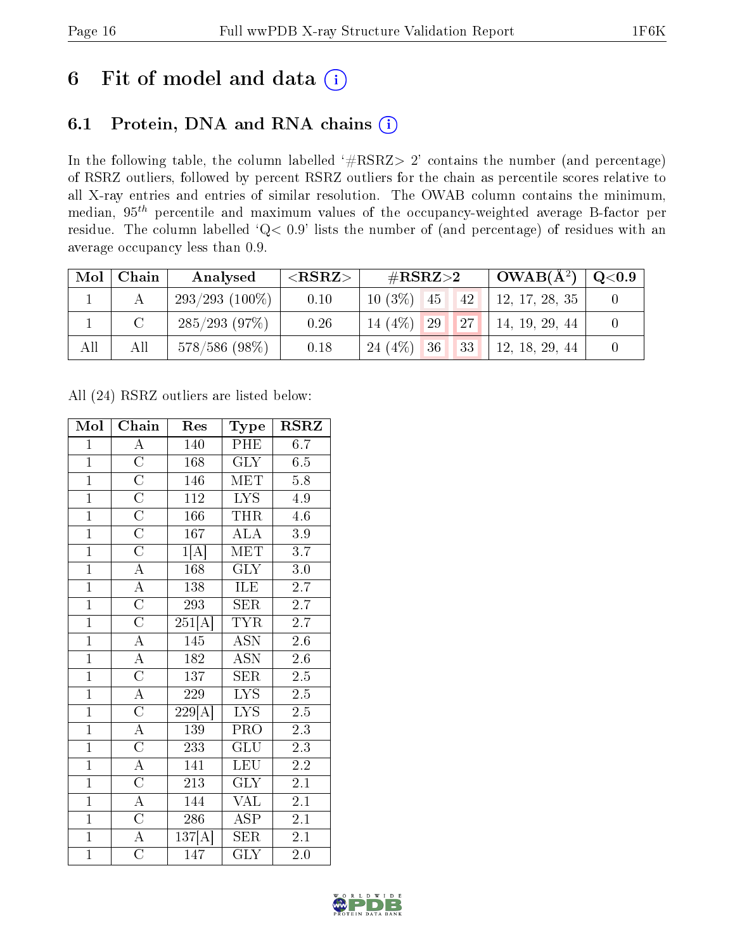## 6 Fit of model and data  $(i)$

## 6.1 Protein, DNA and RNA chains  $(i)$

In the following table, the column labelled  $#RSRZ> 2'$  contains the number (and percentage) of RSRZ outliers, followed by percent RSRZ outliers for the chain as percentile scores relative to all X-ray entries and entries of similar resolution. The OWAB column contains the minimum, median,  $95<sup>th</sup>$  percentile and maximum values of the occupancy-weighted average B-factor per residue. The column labelled ' $Q< 0.9$ ' lists the number of (and percentage) of residues with an average occupancy less than 0.9.

| Mol | Chain | Analysed          | ${ <\hspace{-1.5pt}{\mathrm{RSRZ}} \hspace{-1.5pt}>}$ | $\#\text{RSRZ}{>}2$      |    | $\perp$ OWAB(Å <sup>2</sup> ) $\perp$ | $\rm Q\textcolor{black}{<}0.9$ |
|-----|-------|-------------------|-------------------------------------------------------|--------------------------|----|---------------------------------------|--------------------------------|
|     |       | $293/293$ (100\%) | 0.10                                                  | $10(3\%)$<br>45          | 42 | 12, 17, 28, 35                        |                                |
|     |       | $285/293$ (97\%)  | 0.26                                                  | 14 $(4%)$<br>$\sqrt{29}$ | 27 | 14, 19, 29, 44                        |                                |
| All | All   | $578/586$ (98\%)  | 0.18                                                  | 24 (4\%) 36              | 33 | 12, 18, 29, 44                        |                                |

All (24) RSRZ outliers are listed below:

| Mol            | Chain                 | Res                 | Type                    | <b>RSRZ</b>      |
|----------------|-----------------------|---------------------|-------------------------|------------------|
| $\mathbf{1}$   | A                     | 140                 | PHE                     | 6.7              |
| $\overline{1}$ | $\overline{\rm C}$    | 168                 | GLY                     | 6.5              |
| $\overline{1}$ | $\overline{\rm C}$    | 146                 | <b>MET</b>              | $\overline{5.8}$ |
| $\overline{1}$ | $\overline{\rm C}$    | 112                 | LYS                     | 4.9              |
| $\overline{1}$ | $\overline{\rm C}$    | 166                 | <b>THR</b>              | 4.6              |
| $\overline{1}$ | $\overline{\rm C}$    | 167                 | <b>ALA</b>              | $3.9\,$          |
| $\overline{1}$ | $\overline{C}$        | 1[A]                | <b>MET</b>              | 3.7              |
| $\overline{1}$ | $\overline{A}$        | 168                 | <b>GLY</b>              | 3.0              |
| $\overline{1}$ | $\overline{\rm A}$    | 138                 | <b>ILE</b>              | 2.7              |
| $\overline{1}$ | $\overline{C}$        | 293                 | $\overline{\text{SER}}$ | $\overline{2.7}$ |
| $\overline{1}$ | $\overline{C}$        | $\overline{251[A]}$ | <b>TYR</b>              | 2.7              |
| $\overline{1}$ | $\overline{A}$        | 145                 | $\overline{\text{ASN}}$ | $2.6\,$          |
| $\overline{1}$ | $\overline{\rm A}$    | 182                 | <b>ASN</b>              | 2.6              |
| $\overline{1}$ | $\overline{\rm C}$    | 137                 | <b>SER</b>              | $2.5\,$          |
| $\overline{1}$ | $\overline{\rm A}$    | 229                 | $\overline{LYS}$        | $\overline{2.5}$ |
| $\overline{1}$ | $\overline{\rm C}$    | 229[A]              | $\overline{\text{LYS}}$ | 2.5              |
| $\overline{1}$ | $\overline{A}$        | 139                 | $\overline{\text{PRO}}$ | $\overline{2.3}$ |
| $\overline{1}$ | $\overline{\rm C}$    | 233                 | <b>GLU</b>              | $2.\overline{3}$ |
| $\overline{1}$ | $\overline{A}$        | 141                 | <b>LEU</b>              | 2.2              |
| $\overline{1}$ | $\overline{\rm C}$    | 213                 | $\rm{GL}\overline{Y}$   | 2.1              |
| $\overline{1}$ | $\overline{\rm A}$    | 144                 | <b>VAL</b>              | 2.1              |
| $\overline{1}$ | $\overline{\rm C}$    | 286                 | $\overline{\text{ASP}}$ | 2.1              |
| $\overline{1}$ | $\overline{A}$        | 137[A]              | <b>SER</b>              | 2.1              |
| $\overline{1}$ | $\overline{\text{C}}$ | 147                 | $\overline{\text{GLY}}$ | 2.0              |